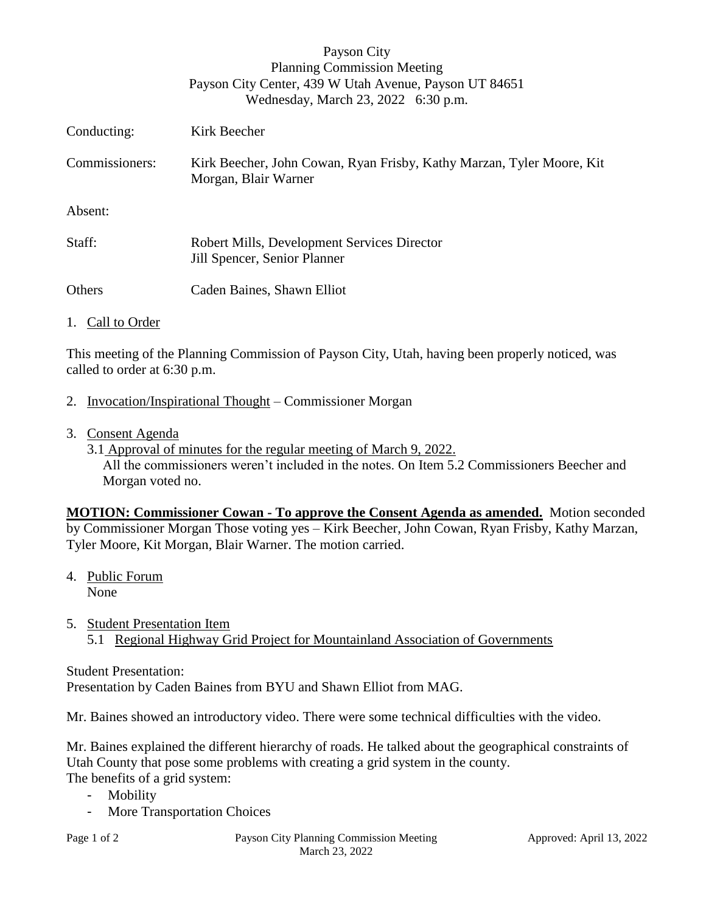|                | Payson City<br><b>Planning Commission Meeting</b><br>Payson City Center, 439 W Utah Avenue, Payson UT 84651<br>Wednesday, March 23, 2022 6:30 p.m. |
|----------------|----------------------------------------------------------------------------------------------------------------------------------------------------|
| Conducting:    | Kirk Beecher                                                                                                                                       |
| Commissioners: | Kirk Beecher, John Cowan, Ryan Frisby, Kathy Marzan, Tyler Moore, Kit<br>Morgan, Blair Warner                                                      |
| Absent:        |                                                                                                                                                    |
| Staff:         | Robert Mills, Development Services Director<br>Jill Spencer, Senior Planner                                                                        |
| Others         | Caden Baines, Shawn Elliot                                                                                                                         |

## 1. Call to Order

This meeting of the Planning Commission of Payson City, Utah, having been properly noticed, was called to order at 6:30 p.m.

- 2. Invocation/Inspirational Thought Commissioner Morgan
- 3. Consent Agenda

3.1 Approval of minutes for the regular meeting of March 9, 2022. All the commissioners weren't included in the notes. On Item 5.2 Commissioners Beecher and Morgan voted no.

**MOTION: Commissioner Cowan - To approve the Consent Agenda as amended.** Motion seconded by Commissioner Morgan Those voting yes – Kirk Beecher, John Cowan, Ryan Frisby, Kathy Marzan, Tyler Moore, Kit Morgan, Blair Warner. The motion carried.

- 4. Public Forum None
- 5. Student Presentation Item 5.1 Regional Highway Grid Project for Mountainland Association of Governments

Student Presentation: Presentation by Caden Baines from BYU and Shawn Elliot from MAG.

Mr. Baines showed an introductory video. There were some technical difficulties with the video.

Mr. Baines explained the different hierarchy of roads. He talked about the geographical constraints of Utah County that pose some problems with creating a grid system in the county.

The benefits of a grid system:

- Mobility
- More Transportation Choices